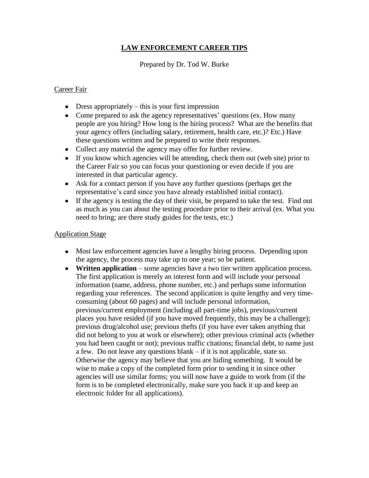# **LAW ENFORCEMENT CAREER TIPS**

#### Prepared by Dr. Tod W. Burke

#### Career Fair

- Dress appropriately this is your first impression
- Come prepared to ask the agency representatives' questions (ex. How many people are you hiring? How long is the hiring process? What are the benefits that your agency offers (including salary, retirement, health care, etc.)? Etc.) Have these questions written and be prepared to write their responses.
- Collect any material the agency may offer for further review.
- If you know which agencies will be attending, check them out (web site) prior to the Career Fair so you can focus your questioning or even decide if you are interested in that particular agency.
- Ask for a contact person if you have any further questions (perhaps get the representative's card since you have already established initial contact).
- If the agency is testing the day of their visit, be prepared to take the test. Find out as much as you can about the testing procedure prior to their arrival (ex. What you need to bring; are there study guides for the tests, etc.)

#### Application Stage

- Most law enforcement agencies have a lengthy hiring process. Depending upon the agency, the process may take up to one year; so be patient.
- **Written application** some agencies have a two tier written application process. The first application is merely an interest form and will include your personal information (name, address, phone number, etc.) and perhaps some information regarding your references. The second application is quite lengthy and very timeconsuming (about 60 pages) and will include personal information, previous/current employment (including all part-time jobs), previous/current places you have resided (if you have moved frequently, this may be a challenge); previous drug/alcohol use; previous thefts (if you have ever taken anything that did not belong to you at work or elsewhere); other previous criminal acts (whether you had been caught or not); previous traffic citations; financial debt, to name just a few. Do not leave any questions blank – if it is not applicable, state so. Otherwise the agency may believe that you are hiding something. It would be wise to make a copy of the completed form prior to sending it in since other agencies will use similar forms; you will now have a guide to work from (if the form is to be completed electronically, make sure you back it up and keep an electronic folder for all applications).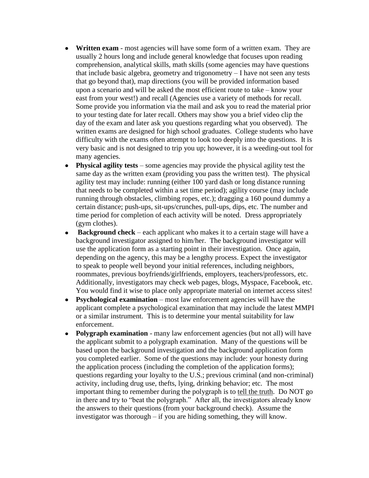- **Written exam** most agencies will have some form of a written exam. They are usually 2 hours long and include general knowledge that focuses upon reading comprehension, analytical skills, math skills (some agencies may have questions that include basic algebra, geometry and trigonometry – I have not seen any tests that go beyond that), map directions (you will be provided information based upon a scenario and will be asked the most efficient route to take – know your east from your west!) and recall (Agencies use a variety of methods for recall. Some provide you information via the mail and ask you to read the material prior to your testing date for later recall. Others may show you a brief video clip the day of the exam and later ask you questions regarding what you observed). The written exams are designed for high school graduates. College students who have difficulty with the exams often attempt to look too deeply into the questions. It is very basic and is not designed to trip you up; however, it is a weeding-out tool for many agencies.
- **Physical agility tests** some agencies may provide the physical agility test the same day as the written exam (providing you pass the written test). The physical agility test may include: running (either 100 yard dash or long distance running that needs to be completed within a set time period); agility course (may include running through obstacles, climbing ropes, etc.); dragging a 160 pound dummy a certain distance; push-ups, sit-ups/crunches, pull-ups, dips, etc. The number and time period for completion of each activity will be noted. Dress appropriately (gym clothes).
- **Background check** each applicant who makes it to a certain stage will have a background investigator assigned to him/her. The background investigator will use the application form as a starting point in their investigation. Once again, depending on the agency, this may be a lengthy process. Expect the investigator to speak to people well beyond your initial references, including neighbors, roommates, previous boyfriends/girlfriends, employers, teachers/professors, etc. Additionally, investigators may check web pages, blogs, Myspace, Facebook, etc. You would find it wise to place only appropriate material on internet access sites!
- **Psychological examination** most law enforcement agencies will have the  $\bullet$ applicant complete a psychological examination that may include the latest MMPI or a similar instrument. This is to determine your mental suitability for law enforcement.
- **Polygraph examination** many law enforcement agencies (but not all) will have the applicant submit to a polygraph examination. Many of the questions will be based upon the background investigation and the background application form you completed earlier. Some of the questions may include: your honesty during the application process (including the completion of the application forms); questions regarding your loyalty to the U.S.; previous criminal (and non-criminal) activity, including drug use, thefts, lying, drinking behavior; etc. The most important thing to remember during the polygraph is to tell the truth. Do NOT go in there and try to "beat the polygraph." After all, the investigators already know the answers to their questions (from your background check). Assume the investigator was thorough – if you are hiding something, they will know.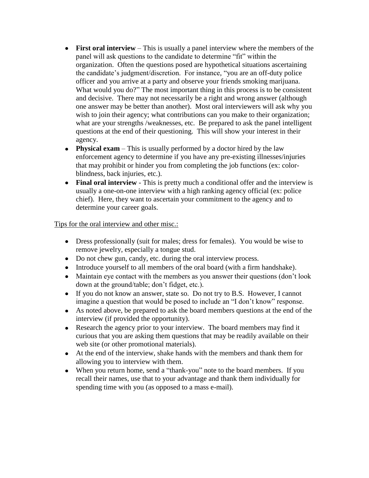- **First oral interview** This is usually a panel interview where the members of the panel will ask questions to the candidate to determine "fit" within the organization. Often the questions posed are hypothetical situations ascertaining the candidate's judgment/discretion. For instance, "you are an off-duty police officer and you arrive at a party and observe your friends smoking marijuana. What would you do?" The most important thing in this process is to be consistent and decisive. There may not necessarily be a right and wrong answer (although one answer may be better than another). Most oral interviewers will ask why you wish to join their agency; what contributions can you make to their organization; what are your strengths /weaknesses, etc. Be prepared to ask the panel intelligent questions at the end of their questioning. This will show your interest in their agency.
- **Physical exam** This is usually performed by a doctor hired by the law enforcement agency to determine if you have any pre-existing illnesses/injuries that may prohibit or hinder you from completing the job functions (ex: colorblindness, back injuries, etc.).
- Final oral interview This is pretty much a conditional offer and the interview is usually a one-on-one interview with a high ranking agency official (ex: police chief). Here, they want to ascertain your commitment to the agency and to determine your career goals.

## Tips for the oral interview and other misc.:

- Dress professionally (suit for males; dress for females). You would be wise to remove jewelry, especially a tongue stud.
- Do not chew gun, candy, etc. during the oral interview process.
- Introduce yourself to all members of the oral board (with a firm handshake).
- Maintain eye contact with the members as you answer their questions (don't look down at the ground/table; don't fidget, etc.).
- If you do not know an answer, state so. Do not try to B.S. However, I cannot imagine a question that would be posed to include an "I don't know" response.
- As noted above, be prepared to ask the board members questions at the end of the interview (if provided the opportunity).
- Research the agency prior to your interview. The board members may find it curious that you are asking them questions that may be readily available on their web site (or other promotional materials).
- At the end of the interview, shake hands with the members and thank them for allowing you to interview with them.
- When you return home, send a "thank-you" note to the board members. If you recall their names, use that to your advantage and thank them individually for spending time with you (as opposed to a mass e-mail).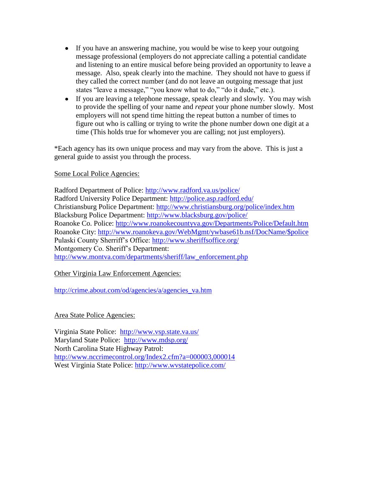- If you have an answering machine, you would be wise to keep your outgoing message professional (employers do not appreciate calling a potential candidate and listening to an entire musical before being provided an opportunity to leave a message. Also, speak clearly into the machine. They should not have to guess if they called the correct number (and do not leave an outgoing message that just states "leave a message," "you know what to do," "do it dude," etc.).
- If you are leaving a telephone message, speak clearly and slowly. You may wish to provide the spelling of your name and *repeat* your phone number slowly. Most employers will not spend time hitting the repeat button a number of times to figure out who is calling or trying to write the phone number down one digit at a time (This holds true for whomever you are calling; not just employers).

\*Each agency has its own unique process and may vary from the above. This is just a general guide to assist you through the process.

#### Some Local Police Agencies:

Radford Department of Police:<http://www.radford.va.us/police/> Radford University Police Department: <http://police.asp.radford.edu/> Christiansburg Police Department:<http://www.christiansburg.org/police/index.htm> Blacksburg Police Department:<http://www.blacksburg.gov/police/> Roanoke Co. Police:<http://www.roanokecountyva.gov/Departments/Police/Default.htm> Roanoke City: [http://www.roanokeva.gov/WebMgmt/ywbase61b.nsf/DocName/\\$police](http://www.roanokeva.gov/WebMgmt/ywbase61b.nsf/DocName/$police) Pulaski County Sherriff's Office:<http://www.sheriffsoffice.org/> Montgomery Co. Sheriff's Department: [http://www.montva.com/departments/sheriff/law\\_enforcement.php](http://www.montva.com/departments/sheriff/law_enforcement.php)

## Other Virginia Law Enforcement Agencies:

[http://crime.about.com/od/agencies/a/agencies\\_va.htm](http://crime.about.com/od/agencies/a/agencies_va.htm)

## Area State Police Agencies:

Virginia State Police: <http://www.vsp.state.va.us/> Maryland State Police: <http://www.mdsp.org/> North Carolina State Highway Patrol: <http://www.nccrimecontrol.org/Index2.cfm?a=000003,000014> West Virginia State Police:<http://www.wvstatepolice.com/>